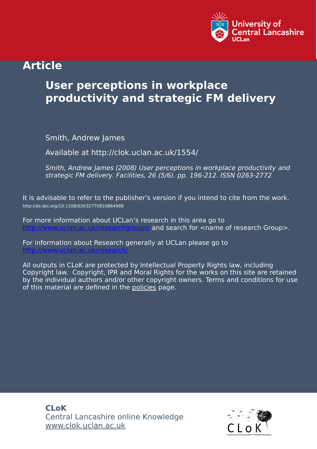

## **Article**

# **User perceptions in workplace productivity and strategic FM delivery**

Smith, Andrew James

Available at http://clok.uclan.ac.uk/1554/

Smith, Andrew James (2008) User perceptions in workplace productivity and strategic FM delivery. Facilities, 26 (5/6). pp. 196-212. ISSN 0263-2772

It is advisable to refer to the publisher's version if you intend to cite from the work. http://dx.doi.org/10.1108/02632770810864989

For more information about UCLan's research in this area go to and search for <name of research Group>.

For information about Research generally at UCLan please go to <http://www.uclan.ac.uk/research/>

All outputs in CLoK are protected by Intellectual Property Rights law, including Copyright law. Copyright, IPR and Moral Rights for the works on this site are retained by the individual authors and/or other copyright owners. Terms and conditions for use of this material are defined in the [policies](https://clok.uclan.ac.uk/policies.html) page.

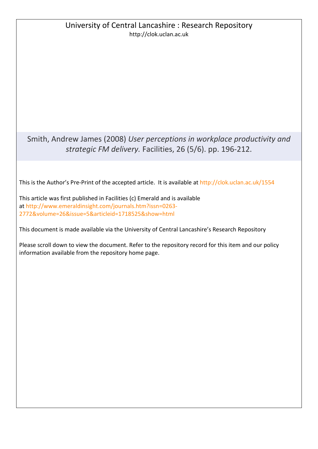### University of Central Lancashire : Research Repository http://clok.uclan.ac.uk

Smith, Andrew James (2008) *User perceptions in workplace productivity and strategic FM delivery.* Facilities, 26 (5/6). pp. 196-212.

This is the Author's Pre-Print of the accepted article. It is available at<http://clok.uclan.ac.uk/1554>

This article was first published in Facilities (c) Emerald and is available at [http://www.emeraldinsight.com/journals.htm?issn=0263-](http://www.emeraldinsight.com/journals.htm?issn=0263-2772&volume=26&issue=5&articleid=1718525&show=html) [2772&volume=26&issue=5&articleid=1718525&show=html](http://www.emeraldinsight.com/journals.htm?issn=0263-2772&volume=26&issue=5&articleid=1718525&show=html)

This document is made available via the University of Central Lancashire's Research Repository

Please scroll down to view the document. Refer to the repository record for this item and our policy information available from the repository home page.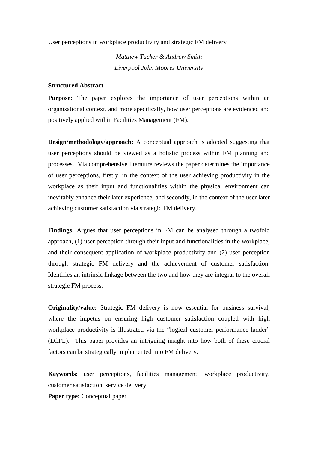User perceptions in workplace productivity and strategic FM delivery

*Matthew Tucker & Andrew Smith Liverpool John Moores University*

#### **Structured Abstract**

**Purpose:** The paper explores the importance of user perceptions within an organisational context, and more specifically, how user perceptions are evidenced and positively applied within Facilities Management (FM).

**Design/methodology/approach:** A conceptual approach is adopted suggesting that user perceptions should be viewed as a holistic process within FM planning and processes. Via comprehensive literature reviews the paper determines the importance of user perceptions, firstly, in the context of the user achieving productivity in the workplace as their input and functionalities within the physical environment can inevitably enhance their later experience, and secondly, in the context of the user later achieving customer satisfaction via strategic FM delivery.

**Findings:** Argues that user perceptions in FM can be analysed through a twofold approach, (1) user perception through their input and functionalities in the workplace, and their consequent application of workplace productivity and (2) user perception through strategic FM delivery and the achievement of customer satisfaction. Identifies an intrinsic linkage between the two and how they are integral to the overall strategic FM process.

**Originality/value:** Strategic FM delivery is now essential for business survival, where the impetus on ensuring high customer satisfaction coupled with high workplace productivity is illustrated via the "logical customer performance ladder" (LCPL). This paper provides an intriguing insight into how both of these crucial factors can be strategically implemented into FM delivery.

**Keywords:** user perceptions, facilities management, workplace productivity, customer satisfaction, service delivery.

**Paper type:** Conceptual paper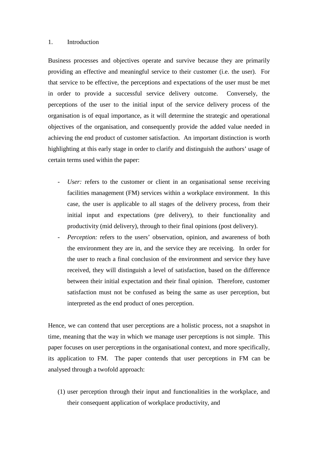#### 1. Introduction

Business processes and objectives operate and survive because they are primarily providing an effective and meaningful service to their customer (i.e. the user). For that service to be effective, the perceptions and expectations of the user must be met in order to provide a successful service delivery outcome. Conversely, the perceptions of the user to the initial input of the service delivery process of the organisation is of equal importance, as it will determine the strategic and operational objectives of the organisation, and consequently provide the added value needed in achieving the end product of customer satisfaction. An important distinction is worth highlighting at this early stage in order to clarify and distinguish the authors' usage of certain terms used within the paper:

- User: refers to the customer or client in an organisational sense receiving facilities management (FM) services within a workplace environment. In this case, the user is applicable to all stages of the delivery process, from their initial input and expectations (pre delivery), to their functionality and productivity (mid delivery), through to their final opinions (post delivery).
- *Perception:* refers to the users' observation, opinion, and awareness of both the environment they are in, and the service they are receiving. In order for the user to reach a final conclusion of the environment and service they have received, they will distinguish a level of satisfaction, based on the difference between their initial expectation and their final opinion. Therefore, customer satisfaction must not be confused as being the same as user perception, but interpreted as the end product of ones perception.

Hence, we can contend that user perceptions are a holistic process, not a snapshot in time, meaning that the way in which we manage user perceptions is not simple. This paper focuses on user perceptions in the organisational context, and more specifically, its application to FM. The paper contends that user perceptions in FM can be analysed through a twofold approach:

(1) user perception through their input and functionalities in the workplace, and their consequent application of workplace productivity, and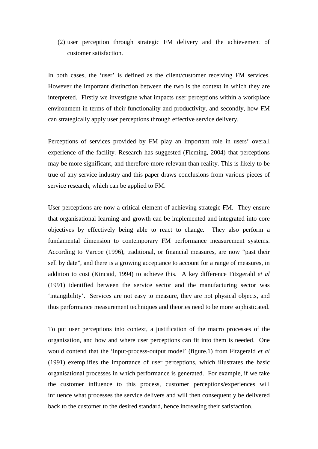(2) user perception through strategic FM delivery and the achievement of customer satisfaction.

In both cases, the 'user' is defined as the client/customer receiving FM services. However the important distinction between the two is the context in which they are interpreted. Firstly we investigate what impacts user perceptions within a workplace environment in terms of their functionality and productivity, and secondly, how FM can strategically apply user perceptions through effective service delivery.

Perceptions of services provided by FM play an important role in users' overall experience of the facility. Research has suggested (Fleming, 2004) that perceptions may be more significant, and therefore more relevant than reality. This is likely to be true of any service industry and this paper draws conclusions from various pieces of service research, which can be applied to FM.

User perceptions are now a critical element of achieving strategic FM. They ensure that organisational learning and growth can be implemented and integrated into core objectives by effectively being able to react to change. They also perform a fundamental dimension to contemporary FM performance measurement systems. According to Varcoe (1996), traditional, or financial measures, are now "past their sell by date", and there is a growing acceptance to account for a range of measures, in addition to cost (Kincaid, 1994) to achieve this. A key difference Fitzgerald *et al* (1991) identified between the service sector and the manufacturing sector was 'intangibility'. Services are not easy to measure, they are not physical objects, and thus performance measurement techniques and theories need to be more sophisticated.

To put user perceptions into context, a justification of the macro processes of the organisation, and how and where user perceptions can fit into them is needed. One would contend that the 'input-process-output model' (figure.1) from Fitzgerald *et al* (1991) exemplifies the importance of user perceptions, which illustrates the basic organisational processes in which performance is generated. For example, if we take the customer influence to this process, customer perceptions/experiences will influence what processes the service delivers and will then consequently be delivered back to the customer to the desired standard, hence increasing their satisfaction.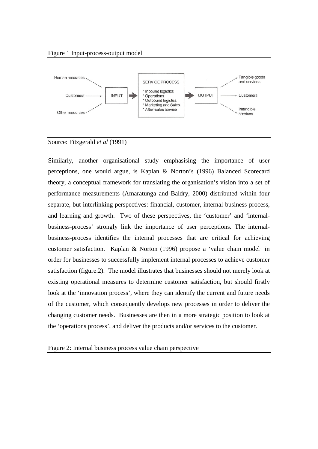

Source: Fitzgerald *et al* (1991)

Similarly, another organisational study emphasising the importance of user perceptions, one would argue, is Kaplan & Norton's (1996) Balanced Scorecard theory, a conceptual framework for translating the organisation's vision into a set of performance measurements (Amaratunga and Baldry, 2000) distributed within four separate, but interlinking perspectives: financial, customer, internal-business-process, and learning and growth. Two of these perspectives, the 'customer' and 'internalbusiness-process' strongly link the importance of user perceptions. The internalbusiness-process identifies the internal processes that are critical for achieving customer satisfaction. Kaplan & Norton (1996) propose a 'value chain model' in order for businesses to successfully implement internal processes to achieve customer satisfaction (figure.2). The model illustrates that businesses should not merely look at existing operational measures to determine customer satisfaction, but should firstly look at the 'innovation process', where they can identify the current and future needs of the customer, which consequently develops new processes in order to deliver the changing customer needs. Businesses are then in a more strategic position to look at the 'operations process', and deliver the products and/or services to the customer.

Figure 2: Internal business process value chain perspective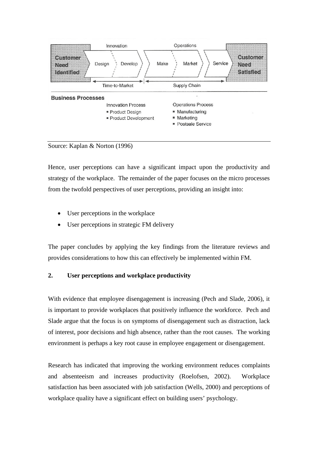



Hence, user perceptions can have a significant impact upon the productivity and strategy of the workplace. The remainder of the paper focuses on the micro processes from the twofold perspectives of user perceptions, providing an insight into:

- User perceptions in the workplace
- User perceptions in strategic FM delivery

The paper concludes by applying the key findings from the literature reviews and provides considerations to how this can effectively be implemented within FM.

#### **2. User perceptions and workplace productivity**

With evidence that employee disengagement is increasing (Pech and Slade, 2006), it is important to provide workplaces that positively influence the workforce. Pech and Slade argue that the focus is on symptoms of disengagement such as distraction, lack of interest, poor decisions and high absence, rather than the root causes. The working environment is perhaps a key root cause in employee engagement or disengagement.

Research has indicated that improving the working environment reduces complaints and absenteeism and increases productivity (Roelofsen, 2002). Workplace satisfaction has been associated with job satisfaction (Wells, 2000) and perceptions of workplace quality have a significant effect on building users' psychology.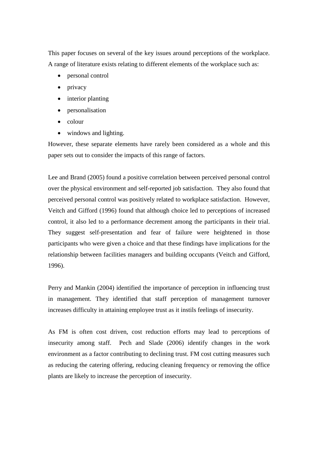This paper focuses on several of the key issues around perceptions of the workplace. A range of literature exists relating to different elements of the workplace such as:

- personal control
- privacy
- interior planting
- personalisation
- colour
- windows and lighting.

However, these separate elements have rarely been considered as a whole and this paper sets out to consider the impacts of this range of factors.

Lee and Brand (2005) found a positive correlation between perceived personal control over the physical environment and self-reported job satisfaction. They also found that perceived personal control was positively related to workplace satisfaction. However, Veitch and Gifford (1996) found that although choice led to perceptions of increased control, it also led to a performance decrement among the participants in their trial. They suggest self-presentation and fear of failure were heightened in those participants who were given a choice and that these findings have implications for the relationship between facilities managers and building occupants (Veitch and Gifford, 1996).

Perry and Mankin (2004) identified the importance of perception in influencing trust in management. They identified that staff perception of management turnover increases difficulty in attaining employee trust as it instils feelings of insecurity.

As FM is often cost driven, cost reduction efforts may lead to perceptions of insecurity among staff. Pech and Slade (2006) identify changes in the work environment as a factor contributing to declining trust. FM cost cutting measures such as reducing the catering offering, reducing cleaning frequency or removing the office plants are likely to increase the perception of insecurity.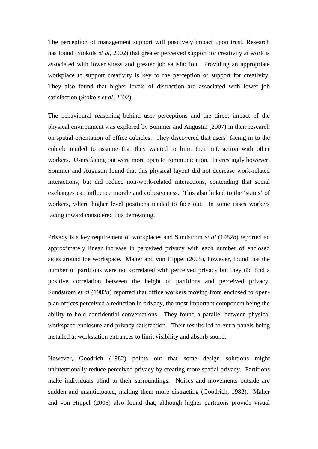The perception of management support will positively impact upon trust. Research has found (Stokols *et al*, 2002) that greater perceived support for creativity at work is associated with lower stress and greater job satisfaction. Providing an appropriate workplace to support creativity is key to the perception of support for creativity. They also found that higher levels of distraction are associated with lower job satisfaction (Stokols *et al*, 2002).

The behavioural reasoning behind user perceptions and the direct impact of the physical environment was explored by Sommer and Augustin (2007) in their research on spatial orientation of office cubicles. They discovered that users' facing in to the cubicle tended to assume that they wanted to limit their interaction with other workers. Users facing out were more open to communication. Interestingly however, Sommer and Augustin found that this physical layout did not decrease work-related interactions, but did reduce non-work-related interactions, contending that social exchanges can influence morale and cohesiveness. This also linked to the 'status' of workers, where higher level positions tended to face out. In some cases workers facing inward considered this demeaning.

Privacy is a key requirement of workplaces and Sundstrom *et al* (1982*b*) reported an approximately linear increase in perceived privacy with each number of enclosed sides around the workspace. Maher and von Hippel (2005), however, found that the number of partitions were not correlated with perceived privacy but they did find a positive correlation between the height of partitions and perceived privacy. Sundstrom *et al* (1982*a*) reported that office workers moving from enclosed to openplan offices perceived a reduction in privacy, the most important component being the ability to hold confidential conversations. They found a parallel between physical workspace enclosure and privacy satisfaction. Their results led to extra panels being installed at workstation entrances to limit visibility and absorb sound.

However, Goodrich (1982) points out that some design solutions might unintentionally reduce perceived privacy by creating more spatial privacy. Partitions make individuals blind to their surroundings. Noises and movements outside are sudden and unanticipated, making them more distracting (Goodrich, 1982). Maher and von Hippel (2005) also found that, although higher partitions provide visual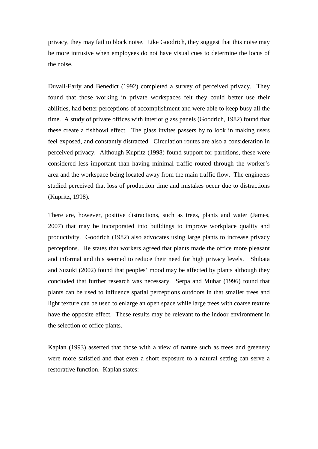privacy, they may fail to block noise. Like Goodrich, they suggest that this noise may be more intrusive when employees do not have visual cues to determine the locus of the noise.

Duvall-Early and Benedict (1992) completed a survey of perceived privacy. They found that those working in private workspaces felt they could better use their abilities, had better perceptions of accomplishment and were able to keep busy all the time. A study of private offices with interior glass panels (Goodrich, 1982) found that these create a fishbowl effect. The glass invites passers by to look in making users feel exposed, and constantly distracted. Circulation routes are also a consideration in perceived privacy. Although Kupritz (1998) found support for partitions, these were considered less important than having minimal traffic routed through the worker's area and the workspace being located away from the main traffic flow. The engineers studied perceived that loss of production time and mistakes occur due to distractions (Kupritz, 1998).

There are, however, positive distractions, such as trees, plants and water (James, 2007) that may be incorporated into buildings to improve workplace quality and productivity. Goodrich (1982) also advocates using large plants to increase privacy perceptions. He states that workers agreed that plants made the office more pleasant and informal and this seemed to reduce their need for high privacy levels. Shibata and Suzuki (2002) found that peoples' mood may be affected by plants although they concluded that further research was necessary. Serpa and Muhar (1996) found that plants can be used to influence spatial perceptions outdoors in that smaller trees and light texture can be used to enlarge an open space while large trees with coarse texture have the opposite effect. These results may be relevant to the indoor environment in the selection of office plants.

Kaplan (1993) asserted that those with a view of nature such as trees and greenery were more satisfied and that even a short exposure to a natural setting can serve a restorative function. Kaplan states: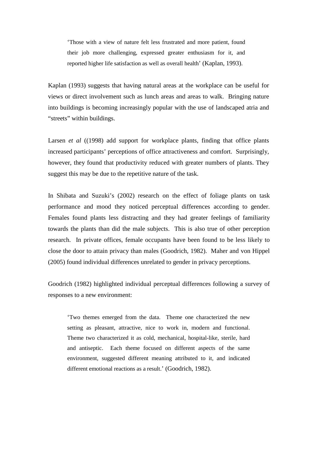'Those with a view of nature felt less frustrated and more patient, found their job more challenging, expressed greater enthusiasm for it, and reported higher life satisfaction as well as overall health' (Kaplan, 1993).

Kaplan (1993) suggests that having natural areas at the workplace can be useful for views or direct involvement such as lunch areas and areas to walk. Bringing nature into buildings is becoming increasingly popular with the use of landscaped atria and "streets" within buildings.

Larsen *et al* ((1998) add support for workplace plants, finding that office plants increased participants' perceptions of office attractiveness and comfort. Surprisingly, however, they found that productivity reduced with greater numbers of plants. They suggest this may be due to the repetitive nature of the task.

In Shibata and Suzuki's (2002) research on the effect of foliage plants on task performance and mood they noticed perceptual differences according to gender. Females found plants less distracting and they had greater feelings of familiarity towards the plants than did the male subjects. This is also true of other perception research. In private offices, female occupants have been found to be less likely to close the door to attain privacy than males (Goodrich, 1982). Maher and von Hippel (2005) found individual differences unrelated to gender in privacy perceptions.

Goodrich (1982) highlighted individual perceptual differences following a survey of responses to a new environment:

'Two themes emerged from the data. Theme one characterized the new setting as pleasant, attractive, nice to work in, modern and functional. Theme two characterized it as cold, mechanical, hospital-like, sterile, hard and antiseptic. Each theme focused on different aspects of the same environment, suggested different meaning attributed to it, and indicated different emotional reactions as a result.' (Goodrich, 1982).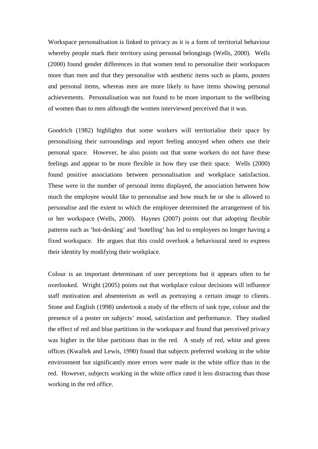Workspace personalisation is linked to privacy as it is a form of territorial behaviour whereby people mark their territory using personal belongings (Wells, 2000). Wells (2000) found gender differences in that women tend to personalise their workspaces more than men and that they personalise with aesthetic items such as plants, posters and personal items, whereas men are more likely to have items showing personal achievements. Personalisation was not found to be more important to the wellbeing of women than to men although the women interviewed perceived that it was.

Goodrich (1982) highlights that some workers will territorialise their space by personalising their surroundings and report feeling annoyed when others use their personal space. However, he also points out that some workers do not have these feelings and appear to be more flexible in how they use their space. Wells (2000) found positive associations between personalisation and workplace satisfaction. These were in the number of personal items displayed, the association between how much the employee would like to personalise and how much he or she is allowed to personalise and the extent to which the employee determined the arrangement of his or her workspace (Wells, 2000). Haynes (2007) points out that adopting flexible patterns such as 'hot-desking' and 'hotelling' has led to employees no longer having a fixed workspace. He argues that this could overlook a behavioural need to express their identity by modifying their workplace.

Colour is an important determinant of user perceptions but it appears often to be overlooked. Wright (2005) points out that workplace colour decisions will influence staff motivation and absenteeism as well as portraying a certain image to clients. Stone and English (1998) undertook a study of the effects of task type, colour and the presence of a poster on subjects' mood, satisfaction and performance. They studied the effect of red and blue partitions in the workspace and found that perceived privacy was higher in the blue partitions than in the red. A study of red, white and green offices (Kwallek and Lewis, 1990) found that subjects preferred working in the white environment but significantly more errors were made in the white office than in the red. However, subjects working in the white office rated it less distracting than those working in the red office.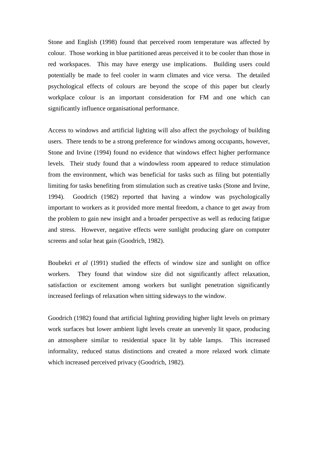Stone and English (1998) found that perceived room temperature was affected by colour. Those working in blue partitioned areas perceived it to be cooler than those in red workspaces. This may have energy use implications. Building users could potentially be made to feel cooler in warm climates and vice versa. The detailed psychological effects of colours are beyond the scope of this paper but clearly workplace colour is an important consideration for FM and one which can significantly influence organisational performance.

Access to windows and artificial lighting will also affect the psychology of building users. There tends to be a strong preference for windows among occupants, however, Stone and Irvine (1994) found no evidence that windows effect higher performance levels. Their study found that a windowless room appeared to reduce stimulation from the environment, which was beneficial for tasks such as filing but potentially limiting for tasks benefiting from stimulation such as creative tasks (Stone and Irvine, 1994). Goodrich (1982) reported that having a window was psychologically important to workers as it provided more mental freedom, a chance to get away from the problem to gain new insight and a broader perspective as well as reducing fatigue and stress. However, negative effects were sunlight producing glare on computer screens and solar heat gain (Goodrich, 1982).

Boubekri *et al* (1991) studied the effects of window size and sunlight on office workers. They found that window size did not significantly affect relaxation, satisfaction or excitement among workers but sunlight penetration significantly increased feelings of relaxation when sitting sideways to the window.

Goodrich (1982) found that artificial lighting providing higher light levels on primary work surfaces but lower ambient light levels create an unevenly lit space, producing an atmosphere similar to residential space lit by table lamps. This increased informality, reduced status distinctions and created a more relaxed work climate which increased perceived privacy (Goodrich, 1982).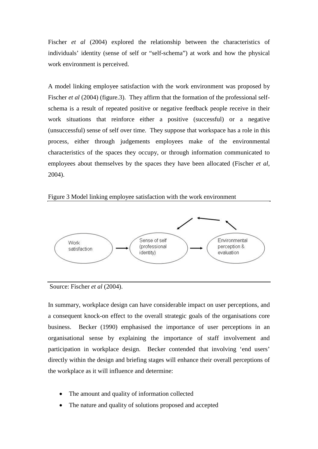Fischer *et al* (2004) explored the relationship between the characteristics of individuals' identity (sense of self or "self-schema") at work and how the physical work environment is perceived.

A model linking employee satisfaction with the work environment was proposed by Fischer *et al* (2004) (figure.3). They affirm that the formation of the professional selfschema is a result of repeated positive or negative feedback people receive in their work situations that reinforce either a positive (successful) or a negative (unsuccessful) sense of self over time. They suppose that workspace has a role in this process, either through judgements employees make of the environmental characteristics of the spaces they occupy, or through information communicated to employees about themselves by the spaces they have been allocated (Fischer *et al*, 2004).





Source: Fischer *et al* (2004).

In summary, workplace design can have considerable impact on user perceptions, and a consequent knock-on effect to the overall strategic goals of the organisations core business. Becker (1990) emphasised the importance of user perceptions in an organisational sense by explaining the importance of staff involvement and participation in workplace design. Becker contended that involving 'end users' directly within the design and briefing stages will enhance their overall perceptions of the workplace as it will influence and determine:

- The amount and quality of information collected
- The nature and quality of solutions proposed and accepted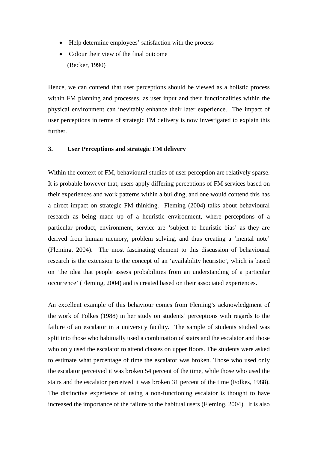- Help determine employees' satisfaction with the process
- Colour their view of the final outcome (Becker, 1990)

Hence, we can contend that user perceptions should be viewed as a holistic process within FM planning and processes, as user input and their functionalities within the physical environment can inevitably enhance their later experience. The impact of user perceptions in terms of strategic FM delivery is now investigated to explain this further.

#### **3. User Perceptions and strategic FM delivery**

Within the context of FM, behavioural studies of user perception are relatively sparse. It is probable however that, users apply differing perceptions of FM services based on their experiences and work patterns within a building, and one would contend this has a direct impact on strategic FM thinking. Fleming (2004) talks about behavioural research as being made up of a heuristic environment, where perceptions of a particular product, environment, service are 'subject to heuristic bias' as they are derived from human memory, problem solving, and thus creating a 'mental note' (Fleming, 2004). The most fascinating element to this discussion of behavioural research is the extension to the concept of an 'availability heuristic', which is based on 'the idea that people assess probabilities from an understanding of a particular occurrence' (Fleming, 2004) and is created based on their associated experiences.

An excellent example of this behaviour comes from Fleming's acknowledgment of the work of Folkes (1988) in her study on students' perceptions with regards to the failure of an escalator in a university facility. The sample of students studied was split into those who habitually used a combination of stairs and the escalator and those who only used the escalator to attend classes on upper floors. The students were asked to estimate what percentage of time the escalator was broken. Those who used only the escalator perceived it was broken 54 percent of the time, while those who used the stairs and the escalator perceived it was broken 31 percent of the time (Folkes, 1988). The distinctive experience of using a non-functioning escalator is thought to have increased the importance of the failure to the habitual users (Fleming, 2004). It is also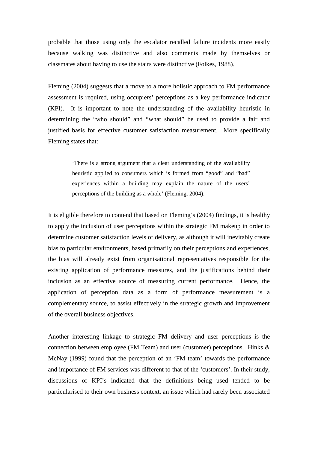probable that those using only the escalator recalled failure incidents more easily because walking was distinctive and also comments made by themselves or classmates about having to use the stairs were distinctive (Folkes, 1988).

Fleming (2004) suggests that a move to a more holistic approach to FM performance assessment is required, using occupiers' perceptions as a key performance indicator (KPI). It is important to note the understanding of the availability heuristic in determining the "who should" and "what should" be used to provide a fair and justified basis for effective customer satisfaction measurement. More specifically Fleming states that:

> 'There is a strong argument that a clear understanding of the availability heuristic applied to consumers which is formed from "good" and "bad" experiences within a building may explain the nature of the users' perceptions of the building as a whole' (Fleming, 2004).

It is eligible therefore to contend that based on Fleming's (2004) findings, it is healthy to apply the inclusion of user perceptions within the strategic FM makeup in order to determine customer satisfaction levels of delivery, as although it will inevitably create bias to particular environments, based primarily on their perceptions and experiences, the bias will already exist from organisational representatives responsible for the existing application of performance measures, and the justifications behind their inclusion as an effective source of measuring current performance. Hence, the application of perception data as a form of performance measurement is a complementary source, to assist effectively in the strategic growth and improvement of the overall business objectives.

Another interesting linkage to strategic FM delivery and user perceptions is the connection between employee (FM Team) and user (customer) perceptions. Hinks & McNay (1999) found that the perception of an 'FM team' towards the performance and importance of FM services was different to that of the 'customers'. In their study, discussions of KPI's indicated that the definitions being used tended to be particularised to their own business context, an issue which had rarely been associated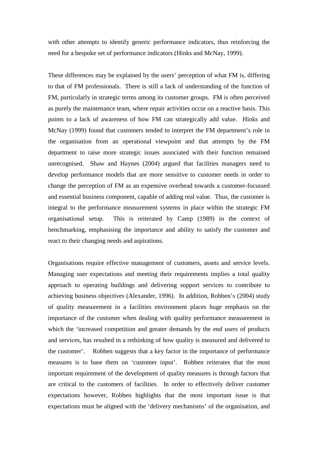with other attempts to identify generic performance indicators, thus reinforcing the need for a bespoke set of performance indicators (Hinks and McNay, 1999).

These differences may be explained by the users' perception of what FM is, differing to that of FM professionals. There is still a lack of understanding of the function of FM, particularly in strategic terms among its customer groups. FM is often perceived as purely the maintenance team, where repair activities occur on a reactive basis. This points to a lack of awareness of how FM can strategically add value. Hinks and McNay (1999) found that customers tended to interpret the FM department's role in the organisation from an operational viewpoint and that attempts by the FM department to raise more strategic issues associated with their function remained unrecognised. Shaw and Haynes (2004) argued that facilities managers need to develop performance models that are more sensitive to customer needs in order to change the perception of FM as an expensive overhead towards a customer-focussed and essential business component, capable of adding real value. Thus, the customer is integral to the performance measurement systems in place within the strategic FM organisational setup. This is reiterated by Camp (1989) in the context of benchmarking, emphasising the importance and ability to satisfy the customer and react to their changing needs and aspirations.

Organisations require effective management of customers, assets and service levels. Managing user expectations and meeting their requirements implies a total quality approach to operating buildings and delivering support services to contribute to achieving business objectives (Alexander, 1996). In addition, Robben's (2004) study of quality measurement in a facilities environment places huge emphasis on the importance of the customer when dealing with quality performance measurement in which the 'increased competition and greater demands by the end users of products and services, has resulted in a rethinking of how quality is measured and delivered to the customer'. Robben suggests that a key factor in the importance of performance measures is to base them on 'customer input'. Robben reiterates that the most important requirement of the development of quality measures is through factors that are critical to the customers of facilities. In order to effectively deliver customer expectations however, Robben highlights that the most important issue is that expectations must be aligned with the 'delivery mechanisms' of the organisation, and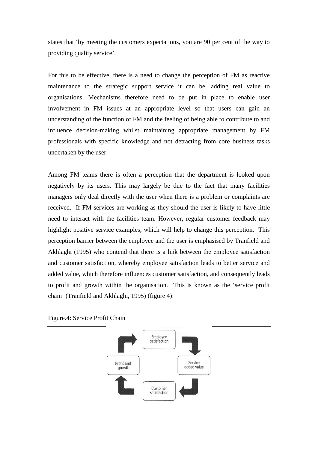states that 'by meeting the customers expectations, you are 90 per cent of the way to providing quality service'.

For this to be effective, there is a need to change the perception of FM as reactive maintenance to the strategic support service it can be, adding real value to organisations. Mechanisms therefore need to be put in place to enable user involvement in FM issues at an appropriate level so that users can gain an understanding of the function of FM and the feeling of being able to contribute to and influence decision-making whilst maintaining appropriate management by FM professionals with specific knowledge and not detracting from core business tasks undertaken by the user.

Among FM teams there is often a perception that the department is looked upon negatively by its users. This may largely be due to the fact that many facilities managers only deal directly with the user when there is a problem or complaints are received. If FM services are working as they should the user is likely to have little need to interact with the facilities team. However, regular customer feedback may highlight positive service examples, which will help to change this perception. This perception barrier between the employee and the user is emphasised by Tranfield and Akhlaghi (1995) who contend that there is a link between the employee satisfaction and customer satisfaction, whereby employee satisfaction leads to better service and added value, which therefore influences customer satisfaction, and consequently leads to profit and growth within the organisation. This is known as the 'service profit chain' (Tranfield and Akhlaghi, 1995) (figure 4):



Figure.4: Service Profit Chain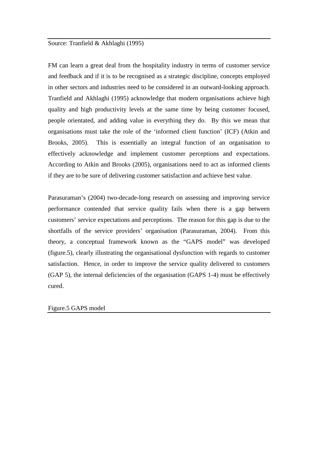#### Source: Tranfield & Akhlaghi (1995)

FM can learn a great deal from the hospitality industry in terms of customer service and feedback and if it is to be recognised as a strategic discipline, concepts employed in other sectors and industries need to be considered in an outward-looking approach. Tranfield and Akhlaghi (1995) acknowledge that modern organisations achieve high quality and high productivity levels at the same time by being customer focused, people orientated, and adding value in everything they do. By this we mean that organisations must take the role of the 'informed client function' (ICF) (Atkin and Brooks, 2005). This is essentially an integral function of an organisation to effectively acknowledge and implement customer perceptions and expectations. According to Atkin and Brooks (2005), organisations need to act as informed clients if they are to be sure of delivering customer satisfaction and achieve best value.

Parasuraman's (2004) two-decade-long research on assessing and improving service performance contended that service quality fails when there is a gap between customers' service expectations and perceptions. The reason for this gap is due to the shortfalls of the service providers' organisation (Parasuraman, 2004). From this theory, a conceptual framework known as the "GAPS model" was developed (figure.5), clearly illustrating the organisational dysfunction with regards to customer satisfaction. Hence, in order to improve the service quality delivered to customers (GAP 5), the internal deficiencies of the organisation (GAPS 1-4) must be effectively cured.

#### Figure.5 GAPS model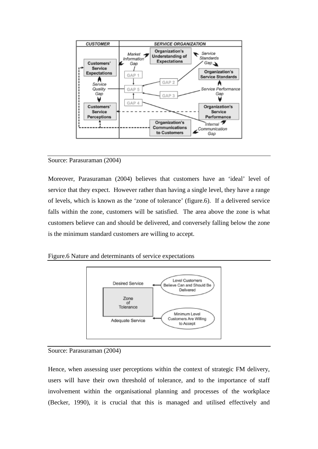

#### Source: Parasuraman (2004)

Moreover, Parasuraman (2004) believes that customers have an 'ideal' level of service that they expect. However rather than having a single level, they have a range of levels, which is known as the 'zone of tolerance' (figure.6). If a delivered service falls within the zone, customers will be satisfied. The area above the zone is what customers believe can and should be delivered, and conversely falling below the zone is the minimum standard customers are willing to accept.

Figure.6 Nature and determinants of service expectations





Hence, when assessing user perceptions within the context of strategic FM delivery, users will have their own threshold of tolerance, and to the importance of staff involvement within the organisational planning and processes of the workplace (Becker, 1990), it is crucial that this is managed and utilised effectively and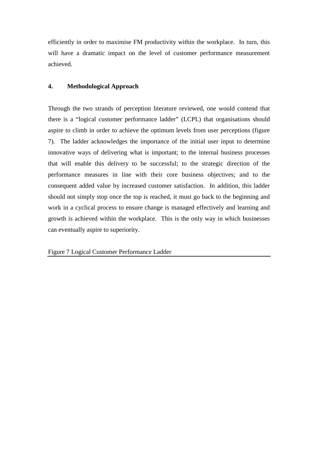efficiently in order to maximise FM productivity within the workplace. In turn, this will have a dramatic impact on the level of customer performance measurement achieved.

#### **4. Methodological Approach**

Through the two strands of perception literature reviewed, one would contend that there is a "logical customer performance ladder" (LCPL) that organisations should aspire to climb in order to achieve the optimum levels from user perceptions (figure 7). The ladder acknowledges the importance of the initial user input to determine innovative ways of delivering what is important; to the internal business processes that will enable this delivery to be successful; to the strategic direction of the performance measures in line with their core business objectives; and to the consequent added value by increased customer satisfaction. In addition, this ladder should not simply stop once the top is reached, it must go back to the beginning and work in a cyclical process to ensure change is managed effectively and learning and growth is achieved within the workplace. This is the only way in which businesses can eventually aspire to superiority.

Figure 7 Logical Customer Performance Ladder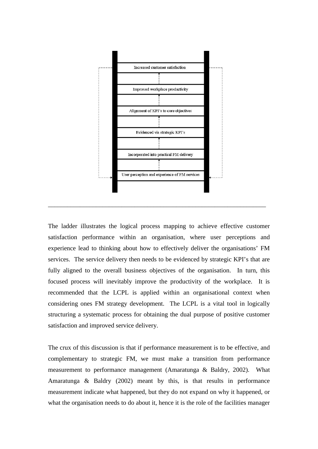

The ladder illustrates the logical process mapping to achieve effective customer satisfaction performance within an organisation, where user perceptions and experience lead to thinking about how to effectively deliver the organisations' FM services. The service delivery then needs to be evidenced by strategic KPI's that are fully aligned to the overall business objectives of the organisation. In turn, this focused process will inevitably improve the productivity of the workplace. It is recommended that the LCPL is applied within an organisational context when considering ones FM strategy development. The LCPL is a vital tool in logically structuring a systematic process for obtaining the dual purpose of positive customer satisfaction and improved service delivery.

The crux of this discussion is that if performance measurement is to be effective, and complementary to strategic FM, we must make a transition from performance measurement to performance management (Amaratunga & Baldry, 2002). What Amaratunga & Baldry (2002) meant by this, is that results in performance measurement indicate what happened, but they do not expand on why it happened, or what the organisation needs to do about it, hence it is the role of the facilities manager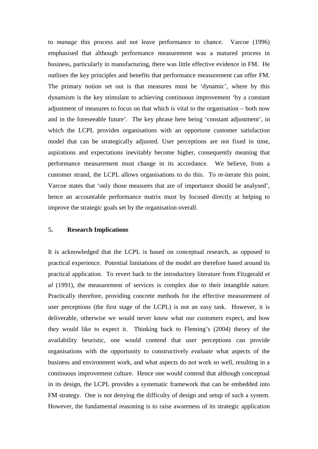to *manage* this process and not leave performance to chance. Varcoe (1996) emphasised that although performance measurement was a matured process in business, particularly in manufacturing, there was little effective evidence in FM. He outlines the key principles and benefits that performance measurement can offer FM. The primary notion set out is that measures must be 'dynamic', where by this dynamism is the key stimulant to achieving continuous improvement 'by a constant adjustment of measures to focus on that which is vital to the organisation – both now and in the foreseeable future'. The key phrase here being 'constant adjustment', in which the LCPL provides organisations with an opportune customer satisfaction model that can be strategically adjusted. User perceptions are not fixed in time, aspirations and expectations inevitably become higher, consequently meaning that performance measurement must change in its accordance. We believe, from a customer strand, the LCPL allows organisations to do this. To re-iterate this point, Varcoe states that 'only those measures that are of importance should be analysed', hence an accountable performance matrix must by focused directly at helping to improve the strategic goals set by the organisation overall.

#### 5**. Research Implications**

It is acknowledged that the LCPL is based on conceptual research, as opposed to practical experience. Potential limitations of the model are therefore based around its practical application. To revert back to the introductory literature from Fitzgerald *et al* (1991), the measurement of services is complex due to their intangible nature. Practically therefore, providing concrete methods for the effective measurement of user perceptions (the first stage of the LCPL) is not an easy task. However, it is deliverable, otherwise we would never know what our customers expect, and how they would like to expect it. Thinking back to Fleming's (2004) theory of the availability heuristic, one would contend that user perceptions can provide organisations with the opportunity to constructively *evaluate* what aspects of the business and environment work, and what aspects do not work so well, resulting in a continuous improvement culture. Hence one would contend that although conceptual in its design, the LCPL provides a systematic framework that can be embedded into FM strategy. One is not denying the difficulty of design and setup of such a system. However, the fundamental reasoning is to raise awareness of its strategic application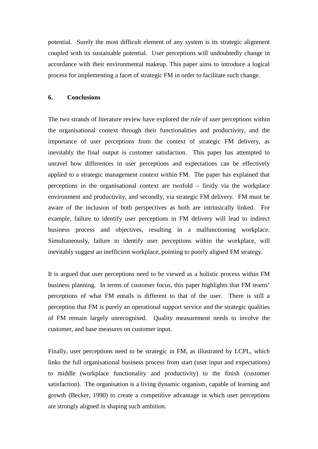potential. Surely the most difficult element of any system is its strategic alignment coupled with its sustainable potential. User perceptions will undoubtedly change in accordance with their environmental makeup. This paper aims to introduce a logical process for implementing a facet of strategic FM in order to facilitate such change.

#### **6. Conclusions**

The two strands of literature review have explored the role of user perceptions within the organisational context through their functionalities and productivity, and the importance of user perceptions from the context of strategic FM delivery, as inevitably the final output is customer satisfaction. This paper has attempted to unravel how differences in user perceptions and expectations can be effectively applied to a strategic management context within FM. The paper has explained that perceptions in the organisational context are twofold – firstly via the workplace environment and productivity, and secondly, via strategic FM delivery. FM must be aware of the inclusion of both perspectives as both are intrinsically linked. For example, failure to identify user perceptions in FM delivery will lead to indirect business process and objectives, resulting in a malfunctioning workplace. Simultaneously, failure to identify user perceptions within the workplace, will inevitably suggest an inefficient workplace, pointing to poorly aligned FM strategy.

It is argued that user perceptions need to be viewed as a holistic process within FM business planning. In terms of customer focus, this paper highlights that FM teams' perceptions of what FM entails is different to that of the user. There is still a perception that FM is purely an operational support service and the strategic qualities of FM remain largely unrecognised. Quality measurement needs to involve the customer, and base measures on customer input.

Finally, user perceptions need to be strategic in FM, as illustrated by LCPL, which links the full organisational business process from start (user input and expectations) to middle (workplace functionality and productivity) to the finish (customer satisfaction). The organisation is a living dynamic organism, capable of learning and growth (Becker, 1990) to create a competitive advantage in which user perceptions are strongly aligned in shaping such ambition.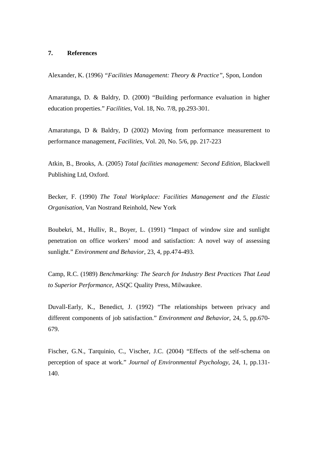#### **7. References**

Alexander, K. (1996) *"Facilities Management: Theory & Practice"*, Spon, London

Amaratunga, D. & Baldry, D. (2000) "Building performance evaluation in higher education properties." *Facilities*, Vol. 18, No. 7/8, pp.293-301.

Amaratunga, D & Baldry, D (2002) Moving from performance measurement to performance management, *Facilities*, Vol. 20, No. 5/6, pp. 217-223

Atkin, B., Brooks, A. (2005) *Total facilities management: Second Edition*, Blackwell Publishing Ltd, Oxford.

Becker, F. (1990) *The Total Workplace: Facilities Management and the Elastic Organisation*, Van Nostrand Reinhold, New York

Boubekri, M., Hulliv, R., Boyer, L. (1991) "Impact of window size and sunlight penetration on office workers' mood and satisfaction: A novel way of assessing sunlight." *Environment and Behavior*, 23, 4, pp.474-493.

Camp, R.C. (1989) *Benchmarking: The Search for Industry Best Practices That Lead to Superior Performance*, ASQC Quality Press, Milwaukee.

Duvall-Early, K., Benedict, J. (1992) "The relationships between privacy and different components of job satisfaction." *Environment and Behavior*, 24, 5, pp.670- 679.

Fischer, G.N., Tarquinio, C., Vischer, J.C. (2004) "Effects of the self-schema on perception of space at work." *Journal of Environmental Psychology*, 24, 1, pp.131- 140.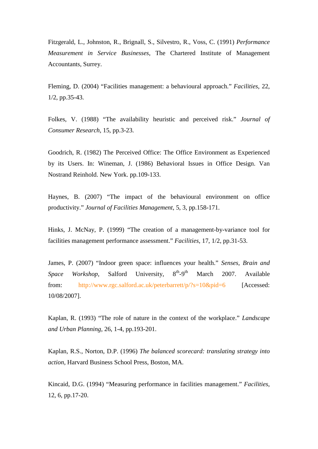Fitzgerald, L., Johnston, R., Brignall, S., Silvestro, R., Voss, C. (1991) *Performance Measurement in Service Businesses*, The Chartered Institute of Management Accountants, Surrey.

Fleming, D. (2004) "Facilities management: a behavioural approach." *Facilities*, 22, 1/2, pp.35-43.

Folkes, V. (1988) "The availability heuristic and perceived risk." *Journal of Consumer Research*, 15, pp.3-23.

Goodrich, R. (1982) The Perceived Office: The Office Environment as Experienced by its Users. In: Wineman, J. (1986) Behavioral Issues in Office Design. Van Nostrand Reinhold. New York. pp.109-133.

Haynes, B. (2007) "The impact of the behavioural environment on office productivity." *Journal of Facilities Management*, 5, 3, pp.158-171.

Hinks, J. McNay, P. (1999) "The creation of a management-by-variance tool for facilities management performance assessment." *Facilities*, 17, 1/2, pp.31-53.

James, P. (2007) "Indoor green space: influences your health." *Senses, Brain and Space Workshop*, Salford University, 8<sup>th</sup>-9<sup>th</sup> March 2007. Available from: <http://www.rgc.salford.ac.uk/peterbarrett/p/?s=10&pid=6> [Accessed: 10/08/2007].

Kaplan, R. (1993) "The role of nature in the context of the workplace." *Landscape and Urban Planning*, 26, 1-4, pp.193-201.

Kaplan, R.S., Norton, D.P. (1996) *The balanced scorecard: translating strategy into action*, Harvard Business School Press, Boston, MA.

Kincaid, D.G. (1994) "Measuring performance in facilities management." *Facilities*, 12, 6, pp.17-20.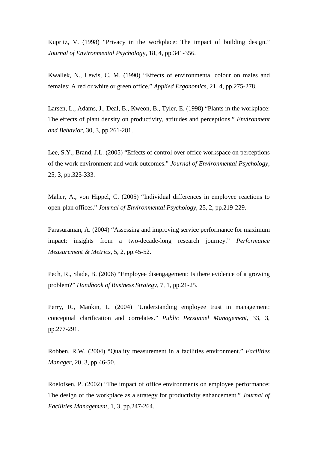Kupritz, V. (1998) "Privacy in the workplace: The impact of building design." *Journal of Environmental Psycholog*y, 18, 4, pp.341-356.

Kwallek, N., Lewis, C. M. (1990) "Effects of environmental colour on males and females: A red or white or green office." *Applied Ergonomics*, 21, 4, pp.275-278.

Larsen, L., Adams, J., Deal, B., Kweon, B., Tyler, E. (1998) "Plants in the workplace: The effects of plant density on productivity, attitudes and perceptions." *Environment and Behavior*, 30, 3, pp.261-281.

Lee, S.Y., Brand, J.L. (2005) "Effects of control over office workspace on perceptions of the work environment and work outcomes." *Journal of Environmental Psychology*, 25, 3, pp.323-333.

Maher, A., von Hippel, C. (2005) "Individual differences in employee reactions to open-plan offices." *Journal of Environmental Psychology*, 25, 2, pp.219-229.

Parasuraman, A. (2004) "Assessing and improving service performance for maximum impact: insights from a two-decade-long research journey." *Performance Measurement & Metrics*, 5, 2, pp.45-52.

Pech, R., Slade, B. (2006) "Employee disengagement: Is there evidence of a growing problem?" *Handbook of Business Strategy*, 7, 1, pp.21-25.

Perry, R., Mankin, L. (2004) "Understanding employee trust in management: conceptual clarification and correlates." *Public Personnel Management*, 33, 3, pp.277-291.

Robben, R.W. (2004) "Quality measurement in a facilities environment." *Facilities Manager*, 20, 3, pp.46-50.

Roelofsen, P. (2002) "The impact of office environments on employee performance: The design of the workplace as a strategy for productivity enhancement." *Journal of Facilities Management*, 1, 3, pp.247-264.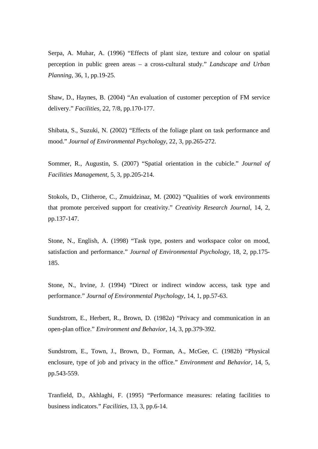Serpa, A. Muhar, A. (1996) "Effects of plant size, texture and colour on spatial perception in public green areas – a cross-cultural study." *Landscape and Urban Planning*, 36, 1, pp.19-25.

Shaw, D., Haynes, B. (2004) "An evaluation of customer perception of FM service delivery." *Facilities*, 22, 7/8, pp.170-177.

Shibata, S., Suzuki, N. (2002) "Effects of the foliage plant on task performance and mood." *Journal of Environmental Psychology*, 22, 3, pp.265-272.

Sommer, R., Augustin, S. (2007) "Spatial orientation in the cubicle." *Journal of Facilities Management*, 5, 3, pp.205-214.

Stokols, D., Clitheroe, C., Zmuidzinaz, M. (2002) "Qualities of work environments that promote perceived support for creativity." *Creativity Research Journal*, 14, 2, pp.137-147.

Stone, N., English, A. (1998) "Task type, posters and workspace color on mood, satisfaction and performance." *Journal of Environmental Psychology*, 18, 2, pp.175- 185.

Stone, N., Irvine, J. (1994) "Direct or indirect window access, task type and performance." *Journal of Environmental Psychology*, 14, 1, pp.57-63.

Sundstrom, E., Herbert, R., Brown, D. (1982*a*) "Privacy and communication in an open-plan office." *Environment and Behavior*, 14, 3, pp.379-392.

Sundstrom, E., Town, J., Brown, D., Forman, A., McGee, C. (1982*b*) "Physical enclosure, type of job and privacy in the office." *Environment and Behavior*, 14, 5, pp.543-559.

Tranfield, D., Akhlaghi, F. (1995) "Performance measures: relating facilities to business indicators." *Facilities*, 13, 3, pp.6-14.